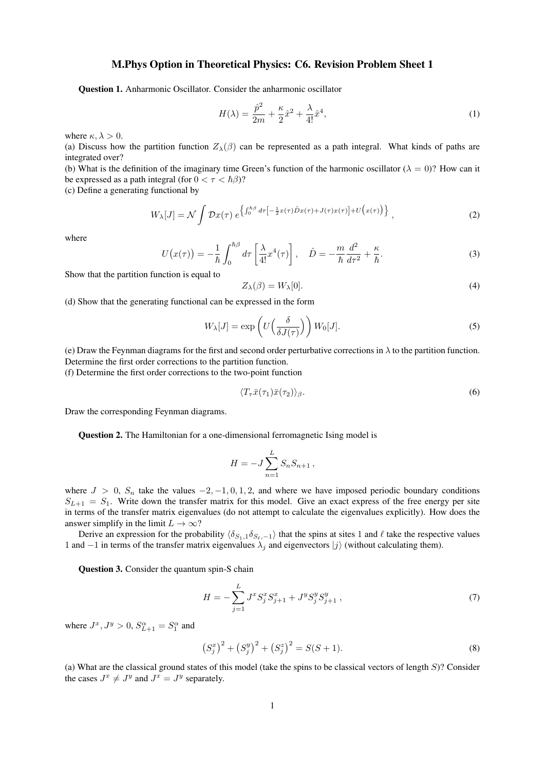## M.Phys Option in Theoretical Physics: C6. Revision Problem Sheet 1

Question 1. Anharmonic Oscillator. Consider the anharmonic oscillator

$$
H(\lambda) = \frac{\hat{p}^2}{2m} + \frac{\kappa}{2}\hat{x}^2 + \frac{\lambda}{4!}\hat{x}^4,
$$
\n(1)

where  $\kappa, \lambda > 0$ .

(a) Discuss how the partition function  $Z_{\lambda}(\beta)$  can be represented as a path integral. What kinds of paths are integrated over?

(b) What is the definition of the imaginary time Green's function of the harmonic oscillator ( $\lambda = 0$ )? How can it be expressed as a path integral (for  $0 < \tau < \hbar \beta$ )?

(c) Define a generating functional by

$$
W_{\lambda}[J] = \mathcal{N} \int \mathcal{D}x(\tau) e^{\left\{ \int_0^{\hbar \beta} d\tau \left[ -\frac{1}{2} x(\tau) \hat{D}x(\tau) + J(\tau) x(\tau) \right] + U(x(\tau)) \right\}} , \qquad (2)
$$

where

$$
U(x(\tau)) = -\frac{1}{\hbar} \int_0^{\hbar \beta} d\tau \left[ \frac{\lambda}{4!} x^4(\tau) \right], \quad \hat{D} = -\frac{m}{\hbar} \frac{d^2}{d\tau^2} + \frac{\kappa}{\hbar}.
$$
 (3)

Show that the partition function is equal to

$$
Z_{\lambda}(\beta) = W_{\lambda}[0]. \tag{4}
$$

(d) Show that the generating functional can be expressed in the form

$$
W_{\lambda}[J] = \exp\left(U\left(\frac{\delta}{\delta J(\tau)}\right)\right) W_0[J].
$$
\n(5)

(e) Draw the Feynman diagrams for the first and second order perturbative corrections in  $\lambda$  to the partition function. Determine the first order corrections to the partition function.

(f) Determine the first order corrections to the two-point function

$$
\langle T_{\tau}\bar{x}(\tau_1)\bar{x}(\tau_2)\rangle_{\beta}.\tag{6}
$$

Draw the corresponding Feynman diagrams.

Question 2. The Hamiltonian for a one-dimensional ferromagnetic Ising model is

$$
H = -J\sum_{n=1}^{L} S_n S_{n+1} \,,
$$

where  $J > 0$ ,  $S_n$  take the values  $-2, -1, 0, 1, 2$ , and where we have imposed periodic boundary conditions  $S_{L+1} = S_1$ . Write down the transfer matrix for this model. Give an exact express of the free energy per site in terms of the transfer matrix eigenvalues (do not attempt to calculate the eigenvalues explicitly). How does the answer simplify in the limit  $L \to \infty$ ?

Derive an expression for the probability  $\langle \delta_{S_1,1} \delta_{S_{\ell},-1} \rangle$  that the spins at sites 1 and  $\ell$  take the respective values 1 and −1 in terms of the transfer matrix eigenvalues  $\lambda_j$  and eigenvectors  $|j\rangle$  (without calculating them).

Question 3. Consider the quantum spin-S chain

$$
H = -\sum_{j=1}^{L} J^x S_j^x S_{j+1}^x + J^y S_j^y S_{j+1}^y , \qquad (7)
$$

where  $J^x$ ,  $J^y > 0$ ,  $S_{L+1}^\alpha = S_1^\alpha$  and

$$
(S_j^x)^2 + (S_j^y)^2 + (S_j^z)^2 = S(S+1).
$$
\n(8)

(a) What are the classical ground states of this model (take the spins to be classical vectors of length S)? Consider the cases  $J^x \neq J^y$  and  $J^x = J^y$  separately.